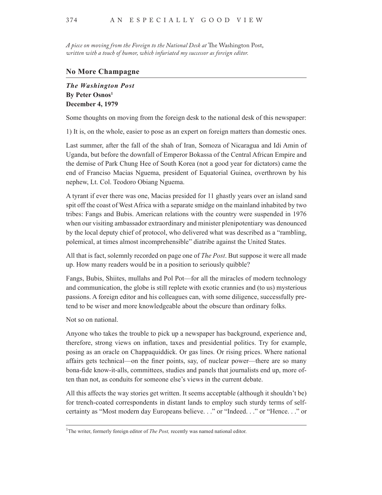*A piece on moving from the Foreign to the National Desk at* The Washington Post, *written with a touch of humor, which infuriated my successor as foreign editor.*

## **No More Champagne**

*The Washington Post* **By Peter Osnos1 December 4, 1979**

Some thoughts on moving from the foreign desk to the national desk of this newspaper:

1) It is, on the whole, easier to pose as an expert on foreign matters than domestic ones.

Last summer, after the fall of the shah of Iran, Somoza of Nicaragua and Idi Amin of Uganda, but before the downfall of Emperor Bokassa of the Central African Empire and the demise of Park Chung Hee of South Korea (not a good year for dictators) came the end of Franciso Macias Nguema, president of Equatorial Guinea, overthrown by his nephew, Lt. Col. Teodoro Obiang Nguema.

A tyrant if ever there was one, Macias presided for 11 ghastly years over an island sand spit off the coast of West Africa with a separate smidge on the mainland inhabited by two tribes: Fangs and Bubis. American relations with the country were suspended in 1976 when our visiting ambassador extraordinary and minister plenipotentiary was denounced by the local deputy chief of protocol, who delivered what was described as a "rambling, polemical, at times almost incomprehensible" diatribe against the United States.

All that is fact, solemnly recorded on page one of *The Post*. But suppose it were all made up. How many readers would be in a position to seriously quibble?

Fangs, Bubis, Shiites, mullahs and Pol Pot—for all the miracles of modern technology and communication, the globe is still replete with exotic crannies and (to us) mysterious passions. A foreign editor and his colleagues can, with some diligence, successfully pretend to be wiser and more knowledgeable about the obscure than ordinary folks.

Not so on national.

Anyone who takes the trouble to pick up a newspaper has background, experience and, therefore, strong views on inflation, taxes and presidential politics. Try for example, posing as an oracle on Chappaquiddick. Or gas lines. Or rising prices. Where national affairs gets technical—on the finer points, say, of nuclear power—there are so many bona-fide know-it-alls, committees, studies and panels that journalists end up, more often than not, as conduits for someone else's views in the current debate.

All this affects the way stories get written. It seems acceptable (although it shouldn't be) for trench-coated correspondents in distant lands to employ such sturdy terms of selfcertainty as "Most modern day Europeans believe. . ." or "Indeed. . ." or "Hence. . ." or

<sup>&</sup>lt;sup>1</sup>The writer, formerly foreign editor of *The Post*, recently was named national editor.